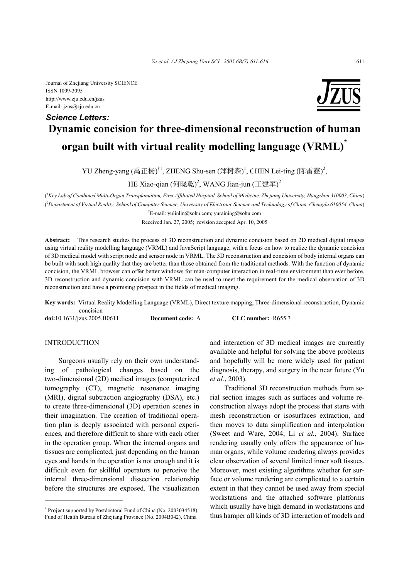Journal of Zhejiang University SCIENCE ISSN 1009-3095 http://www.zju.edu.cn/jzus E-mail: jzus@zju.edu.cn



# **Dynamic concision for three-dimensional reconstruction of human organ built with virtual reality modelling language (VRML)\*** *Science Letters:*

YU Zheng-yang (禹正杨)<sup>†1</sup>, ZHENG Shu-sen (郑树森)<sup>1</sup>, CHEN Lei-ting (陈雷霆)<sup>2</sup>,

HE Xiao-qian (何晓乾) $^2$ , WANG Jian-jun (王建军) $^2$ 

( *1 Key Lab of Combined Multi-Organ Transplantation, First Affiliated Hospital, School of Medicine, Zhejiang University, Hangzhou 310003, China*) ( *2 Department of Virtual Reality, School of Computer Science, University of Electronic Science and Technology of China, Chengdu 610054, China*) † E-mail: yulinlin@sohu.com; yuraining@sohu.com

Received Jan. 27, 2005; revision accepted Apr. 10, 2005

**Abstract:** This research studies the process of 3D reconstruction and dynamic concision based on 2D medical digital images using virtual reality modelling language (VRML) and JavaScript language, with a focus on how to realize the dynamic concision of 3D medical model with script node and sensor node in VRML. The 3D reconstruction and concision of body internal organs can be built with such high quality that they are better than those obtained from the traditional methods. With the function of dynamic concision, the VRML browser can offer better windows for man-computer interaction in real-time environment than ever before. 3D reconstruction and dynamic concision with VRML can be used to meet the requirement for the medical observation of 3D reconstruction and have a promising prospect in the fields of medical imaging.

**Key words:** Virtual Reality Modelling Language (VRML), Direct texture mapping, Three-dimensional reconstruction, Dynamic concision

**doi:**10.1631/jzus.2005.B0611 **Document code:** A **CLC number:** R655.3

## INTRODUCTION

Surgeons usually rely on their own understanding of pathological changes based on the two-dimensional (2D) medical images (computerized tomography (CT), magnetic resonance imaging (MRI), digital subtraction angiography (DSA), etc.) to create three-dimensional (3D) operation scenes in their imagination. The creation of traditional operation plan is deeply associated with personal experiences, and therefore difficult to share with each other in the operation group. When the internal organs and tissues are complicated, just depending on the human eyes and hands in the operation is not enough and it is difficult even for skillful operators to perceive the internal three-dimensional dissection relationship before the structures are exposed. The visualization and interaction of 3D medical images are currently available and helpful for solving the above problems and hopefully will be more widely used for patient diagnosis, therapy, and surgery in the near future (Yu *et al.*, 2003).

Traditional 3D reconstruction methods from serial section images such as surfaces and volume reconstruction always adopt the process that starts with mesh reconstruction or isosurfaces extraction, and then moves to data simplification and interpolation (Sweet and Ware, 2004; Li *et al.*, 2004). Surface rendering usually only offers the appearance of human organs, while volume rendering always provides clear observation of several limited inner soft tissues. Moreover, most existing algorithms whether for surface or volume rendering are complicated to a certain extent in that they cannot be used away from special workstations and the attached software platforms which usually have high demand in workstations and thus hamper all kinds of 3D interaction of models and

<sup>\*</sup> Project supported by Postdoctoral Fund of China (No. 2003034518), Fund of Health Bureau of Zhejiang Province (No. 2004B042), China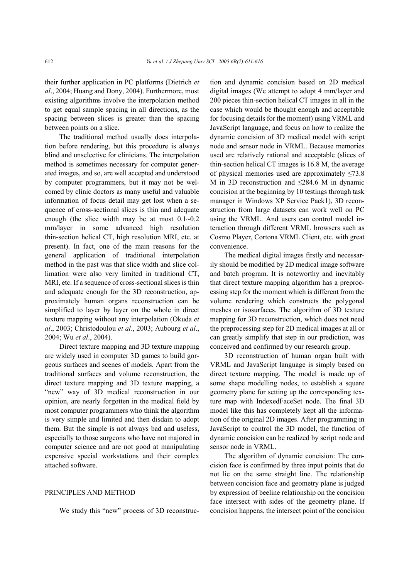their further application in PC platforms (Dietrich *et al*., 2004; Huang and Dony, 2004). Furthermore, most existing algorithms involve the interpolation method to get equal sample spacing in all directions, as the spacing between slices is greater than the spacing between points on a slice.

The traditional method usually does interpolation before rendering, but this procedure is always blind and unselective for clinicians. The interpolation method is sometimes necessary for computer generated images, and so, are well accepted and understood by computer programmers, but it may not be welcomed by clinic doctors as many useful and valuable information of focus detail may get lost when a sequence of cross-sectional slices is thin and adequate enough (the slice width may be at most  $0.1 - 0.2$ ) mm/layer in some advanced high resolution thin-section helical CT, high resolution MRI, etc. at present). In fact, one of the main reasons for the general application of traditional interpolation method in the past was that slice width and slice collimation were also very limited in traditional CT, MRI, etc. If a sequence of cross-sectional slices is thin and adequate enough for the 3D reconstruction, approximately human organs reconstruction can be simplified to layer by layer on the whole in direct texture mapping without any interpolation (Okuda *et al*., 2003; Christodoulou *et al*., 2003; Aubourg *et al*., 2004; Wu *et al*., 2004).

Direct texture mapping and 3D texture mapping are widely used in computer 3D games to build gorgeous surfaces and scenes of models. Apart from the traditional surfaces and volume reconstruction, the direct texture mapping and 3D texture mapping, a "new" way of 3D medical reconstruction in our opinion, are nearly forgotten in the medical field by most computer programmers who think the algorithm is very simple and limited and then disdain to adopt them. But the simple is not always bad and useless, especially to those surgeons who have not majored in computer science and are not good at manipulating expensive special workstations and their complex attached software.

## PRINCIPLES AND METHOD

We study this "new" process of 3D reconstruc-

tion and dynamic concision based on 2D medical digital images (We attempt to adopt 4 mm/layer and 200 pieces thin-section helical CT images in all in the case which would be thought enough and acceptable for focusing details for the moment) using VRML and JavaScript language, and focus on how to realize the dynamic concision of 3D medical model with script node and sensor node in VRML. Because memories used are relatively rational and acceptable (slices of thin-section helical CT images is 16.8 M, the average of physical memories used are approximately  $\leq 73.8$ M in 3D reconstruction and  $\leq$ 284.6 M in dynamic concision at the beginning by 10 testings through task manager in Windows XP Service Pack1), 3D reconstruction from large datasets can work well on PC using the VRML. And users can control model interaction through different VRML browsers such as Cosmo Player, Cortona VRML Client, etc. with great convenience.

The medical digital images firstly and necessarily should be modified by 2D medical image software and batch program. It is noteworthy and inevitably that direct texture mapping algorithm has a preprocessing step for the moment which is different from the volume rendering which constructs the polygonal meshes or isosurfaces. The algorithm of 3D texture mapping for 3D reconstruction, which does not need the preprocessing step for 2D medical images at all or can greatly simplify that step in our prediction, was conceived and confirmed by our research group.

3D reconstruction of human organ built with VRML and JavaScript language is simply based on direct texture mapping. The model is made up of some shape modelling nodes, to establish a square geometry plane for setting up the corresponding texture map with IndexedFaceSet node. The final 3D model like this has completely kept all the information of the original 2D images. After programming in JavaScript to control the 3D model, the function of dynamic concision can be realized by script node and sensor node in VRML.

The algorithm of dynamic concision: The concision face is confirmed by three input points that do not lie on the same straight line. The relationship between concision face and geometry plane is judged by expression of beeline relationship on the concision face intersect with sides of the geometry plane. If concision happens, the intersect point of the concision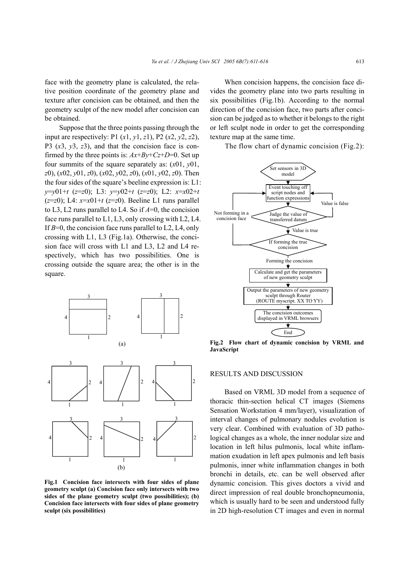face with the geometry plane is calculated, the relative position coordinate of the geometry plane and texture after concision can be obtained, and then the geometry sculpt of the new model after concision can be obtained.

Suppose that the three points passing through the input are respectively: P1 (*x*1, *y*1, *z*1), P2 (*x*2, *y*2, *z*2), P3 (*x*3, *y*3, *z*3), and that the concision face is confirmed by the three points is:  $Ax+By+Cz+D=0$ . Set up four summits of the square separately as: (*x*01, *y*01, *z*0), (*x*02, *y*01, *z*0), (*x*02, *y*02, *z*0), (*x*01, *y*02, *z*0). Then the four sides of the square's beeline expression is: L1: *y*=*y*01+*t* (*z*=*z*0); L3: *y*=*y*02+*t* (*z*=*z*0); L2: *x*=*x*02+*t*  $(z=z0)$ ; L4:  $x=x01+t(z=z0)$ . Beeline L1 runs parallel to L3, L2 runs parallel to L4. So if *A*=0, the concision face runs parallel to L1, L3, only crossing with L2, L4. If *B*=0, the concision face runs parallel to L2, L4, only crossing with L1, L3 (Fig.1a). Otherwise, the concision face will cross with L1 and L3, L2 and L4 respectively, which has two possibilities. One is crossing outside the square area; the other is in the square.



**Fig.1 Concision face intersects with four sides of plane geometry sculpt (a) Concision face only intersects with two sides of the plane geometry sculpt (two possibilities); (b) Concision face intersects with four sides of plane geometry sculpt (six possibilities)**

When concision happens, the concision face divides the geometry plane into two parts resulting in six possibilities (Fig.1b). According to the normal direction of the concision face, two parts after concision can be judged as to whether it belongs to the right or left sculpt node in order to get the corresponding texture map at the same time.

The flow chart of dynamic concision (Fig.2):



**Fig.2 Flow chart of dynamic concision by VRML and JavaScript**

### RESULTS AND DISCUSSION

Based on VRML 3D model from a sequence of thoracic thin-section helical CT images (Siemens Sensation Workstation 4 mm/layer), visualization of interval changes of pulmonary nodules evolution is very clear. Combined with evaluation of 3D pathological changes as a whole, the inner nodular size and location in left hilus pulmonis, local white inflammation exudation in left apex pulmonis and left basis pulmonis, inner white inflammation changes in both bronchi in details, etc. can be well observed after dynamic concision. This gives doctors a vivid and direct impression of real double bronchopneumonia, which is usually hard to be seen and understood fully in 2D high-resolution CT images and even in normal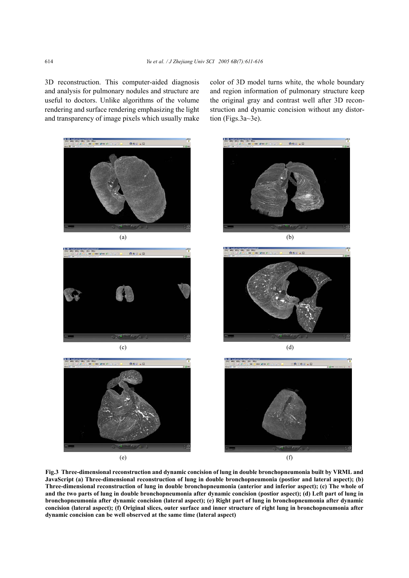tion (Figs.3a~3e).

3D reconstruction. This computer-aided diagnosis and analysis for pulmonary nodules and structure are useful to doctors. Unlike algorithms of the volume rendering and surface rendering emphasizing the light and transparency of image pixels which usually make



color of 3D model turns white, the whole boundary and region information of pulmonary structure keep the original gray and contrast well after 3D reconstruction and dynamic concision without any distor-

**Fig.3 Three-dimensional reconstruction and dynamic concision of lung in double bronchopneumonia built by VRML and JavaScript (a) Three-dimensional reconstruction of lung in double bronchopneumonia (postior and lateral aspect); (b) Three-dimensional reconstruction of lung in double bronchopneumonia (anterior and inferior aspect); (c) The whole of and the two parts of lung in double bronchopneumonia after dynamic concision (postior aspect); (d) Left part of lung in bronchopneumonia after dynamic concision (lateral aspect); (e) Right part of lung in bronchopneumonia after dynamic concision (lateral aspect); (f) Original slices, outer surface and inner structure of right lung in bronchopneumonia after dynamic concision can be well observed at the same time (lateral aspect)**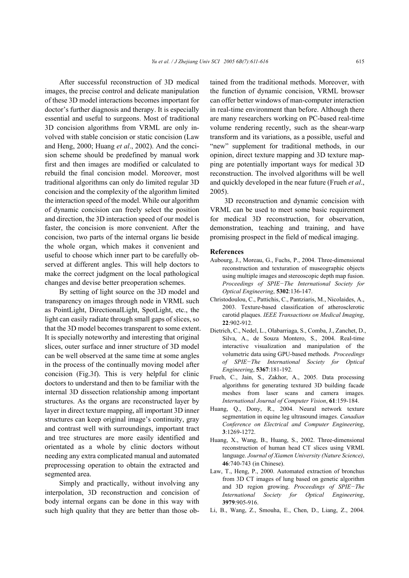After successful reconstruction of 3D medical images, the precise control and delicate manipulation of these 3D model interactions becomes important for doctor's further diagnosis and therapy. It is especially essential and useful to surgeons. Most of traditional 3D concision algorithms from VRML are only involved with stable concision or static concision (Law and Heng, 2000; Huang *et al*., 2002). And the concision scheme should be predefined by manual work first and then images are modified or calculated to rebuild the final concision model. Moreover, most traditional algorithms can only do limited regular 3D concision and the complexity of the algorithm limited the interaction speed of the model. While our algorithm of dynamic concision can freely select the position and direction, the 3D interaction speed of our model is faster, the concision is more convenient. After the concision, two parts of the internal organs lie beside the whole organ, which makes it convenient and useful to choose which inner part to be carefully observed at different angles. This will help doctors to make the correct judgment on the local pathological changes and devise better preoperation schemes.

By setting of light source on the 3D model and transparency on images through node in VRML such as PointLight, DirectionalLight, SpotLight, etc., the light can easily radiate through small gaps of slices, so that the 3D model becomes transparent to some extent. It is specially noteworthy and interesting that original slices, outer surface and inner structure of 3D model can be well observed at the same time at some angles in the process of the continually moving model after concision (Fig.3f). This is very helpful for clinic doctors to understand and then to be familiar with the internal 3D dissection relationship among important structures. As the organs are reconstructed layer by layer in direct texture mapping, all important 3D inner structures can keep original image's continuity, gray and contrast well with surroundings, important tract and tree structures are more easily identified and orientated as a whole by clinic doctors without needing any extra complicated manual and automated preprocessing operation to obtain the extracted and segmented area.

Simply and practically, without involving any interpolation, 3D reconstruction and concision of body internal organs can be done in this way with such high quality that they are better than those obtained from the traditional methods. Moreover, with the function of dynamic concision, VRML browser can offer better windows of man-computer interaction in real-time environment than before. Although there are many researchers working on PC-based real-time volume rendering recently, such as the shear-warp transform and its variations, as a possible, useful and "new" supplement for traditional methods, in our opinion, direct texture mapping and 3D texture mapping are potentially important ways for medical 3D reconstruction. The involved algorithms will be well and quickly developed in the near future (Frueh *et al*., 2005).

3D reconstruction and dynamic concision with VRML can be used to meet some basic requirement for medical 3D reconstruction, for observation, demonstration, teaching and training, and have promising prospect in the field of medical imaging.

#### **References**

- Aubourg, J., Moreau, G., Fuchs, P., 2004. Three-dimensional reconstruction and texturation of museographic objects using multiple images and stereoscopic depth map fusion. *Proceedings of SPIE−The International Society for Optical Engineering*, **5302**:136-147.
- Christodoulou, C., Pattichis, C., Pantziaris, M., Nicolaides, A., 2003. Texture-based classification of atherosclerotic carotid plaques. *IEEE Transactions on Medical Imaging*, **22**:902-912.
- Dietrich, C., Nedel, L., Olabarriaga, S., Comba, J., Zanchet, D., Silva, A., de Souza Montero, S., 2004. Real-time interactive visualization and manipulation of the volumetric data using GPU-based methods. *Proceedings of SPIE−The International Society for Optical Engineering*, **5367**:181-192.
- Frueh, C., Jain, S., Zakhor, A., 2005. Data processing algorithms for generating textured 3D building facade meshes from laser scans and camera images. *International Journal of Computer Vision*, **61**:159-184.
- Huang, Q., Dony, R., 2004. Neural network texture segmentation in equine leg ultrasound images. *Canadian Conference on Electrical and Computer Engineering*, **3**:1269-1272.
- Huang, X., Wang, B., Huang, S., 2002. Three-dimensional reconstruction of human head CT slices using VRML language. *Journal of Xiamen University (Nature Science)*, **46**:740-743 (in Chinese).
- Law, T., Heng, P., 2000. Automated extraction of bronchus from 3D CT images of lung based on genetic algorithm and 3D region growing. *Proceedings of SPIE−The International Society for Optical Engineering*, **3979**:905-916.
- Li, B., Wang, Z., Smouha, E., Chen, D., Liang, Z., 2004.